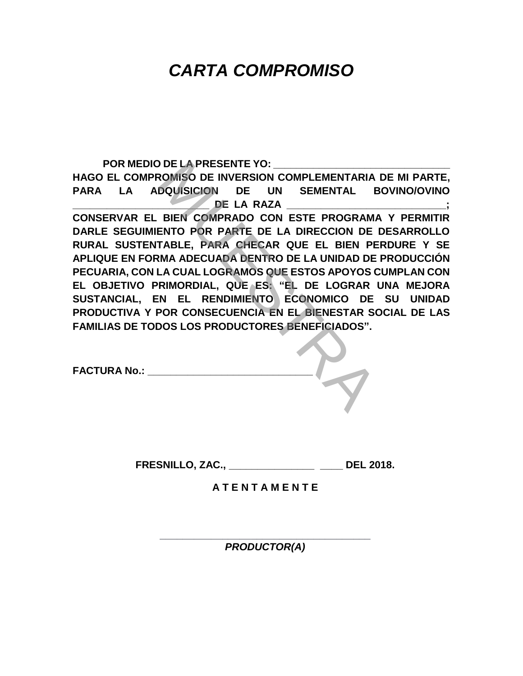#### **POR MEDIO DE LA PRESENTE YO: \_\_\_\_\_\_\_\_\_\_\_\_\_\_\_\_\_\_\_\_\_\_\_\_\_\_\_\_\_\_\_**

**HAGO EL COMPROMISO DE INVERSION COMPLEMENTARIA DE MI PARTE, PARA LA ADQUISICION DE UN SEMENTAL BOVINO/OVINO DE LA RAZA CONSERVAR EL BIEN COMPRADO CON ESTE PROGRAMA Y PERMITIR DARLE SEGUIMIENTO POR PARTE DE LA DIRECCION DE DESARROLLO RURAL SUSTENTABLE, PARA CHECAR QUE EL BIEN PERDURE Y SE APLIQUE EN FORMA ADECUADA DENTRO DE LA UNIDAD DE PRODUCCIÓN PECUARIA, CON LA CUAL LOGRAMOS QUE ESTOS APOYOS CUMPLAN CON EL OBJETIVO PRIMORDIAL, QUE ES: "EL DE LOGRAR UNA MEJORA SUSTANCIAL, EN EL RENDIMIENTO ECONOMICO DE SU UNIDAD PRODUCTIVA Y POR CONSECUENCIA EN EL BIENESTAR SOCIAL DE LAS** DE LA PRESENTE YO:<br>
NOMISO DE INVERSION COMPLEMENTARIA I<br>
DE LA RAZA<br>
DE LA RAZA<br>
BIEN COMPRADO CON ESTE PROGRAMA<br>
ENTO POR PARTE DE LA DIRECCION DE I<br>
TABLE, PARA CHECAR QUE EL BIEN PEI<br>
NA ADECUADA DENTRO DE LA UNIDAD DE

**FAMILIAS DE TODOS LOS PRODUCTORES BENEFICIADOS".**

**FACTURA No.: \_\_\_\_\_\_\_\_\_\_\_\_\_\_\_\_\_\_\_\_\_\_\_\_\_\_\_\_\_**

**FRESNILLO, ZAC., \_\_\_\_\_\_\_\_\_\_\_\_\_\_\_ \_\_\_\_ DEL 2018.**

**A T E N T A M E N T E**

**\_\_\_\_\_\_\_\_\_\_\_\_\_\_\_\_\_\_\_\_\_\_\_\_\_\_\_\_\_\_\_\_\_\_\_\_\_** *PRODUCTOR(A)*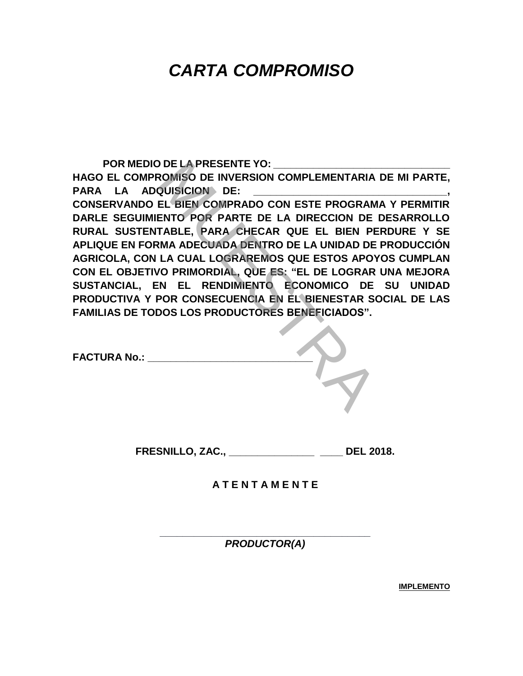**POR MEDIO DE LA PRESENTE YO: \_\_\_\_\_\_\_\_\_\_\_\_\_\_\_\_\_\_\_\_\_\_\_\_\_\_\_\_\_\_\_ HAGO EL COMPROMISO DE INVERSION COMPLEMENTARIA DE MI PARTE,**  PARA LA ADQUISICION DE: **CONSERVANDO EL BIEN COMPRADO CON ESTE PROGRAMA Y PERMITIR DARLE SEGUIMIENTO POR PARTE DE LA DIRECCION DE DESARROLLO RURAL SUSTENTABLE, PARA CHECAR QUE EL BIEN PERDURE Y SE APLIQUE EN FORMA ADECUADA DENTRO DE LA UNIDAD DE PRODUCCIÓN AGRICOLA, CON LA CUAL LOGRAREMOS QUE ESTOS APOYOS CUMPLAN CON EL OBJETIVO PRIMORDIAL, QUE ES: "EL DE LOGRAR UNA MEJORA SUSTANCIAL, EN EL RENDIMIENTO ECONOMICO DE SU UNIDAD PRODUCTIVA Y POR CONSECUENCIA EN EL BIENESTAR SOCIAL DE LAS FAMILIAS DE TODOS LOS PRODUCTORES BENEFICIADOS".** DE LA PRESENTE YO:<br>
NOMISO DE INVERSION COMPLEMENTARIA I<br>
QUISICION DE:<br>
EL BIEN COMPRADO CON ESTE PROGRAM.<br>
ENTO POR PARTE DE LA DIRECCION DE I<br>
TABLE, PARA CHECAR QUE EL BIEN PEI<br>
NA ADECUADA DENTRO DE LA UNIDAD DE I<br>
LA

| <b>FACTURA No.:</b> |  |
|---------------------|--|
|                     |  |

**FRESNILLO, ZAC., \_\_\_\_\_\_\_\_\_\_\_\_\_\_\_ \_\_\_\_ DEL 2018.**

**A T E N T A M E N T E**

**\_\_\_\_\_\_\_\_\_\_\_\_\_\_\_\_\_\_\_\_\_\_\_\_\_\_\_\_\_\_\_\_\_\_\_\_\_** *PRODUCTOR(A)*

**IMPLEMENTO**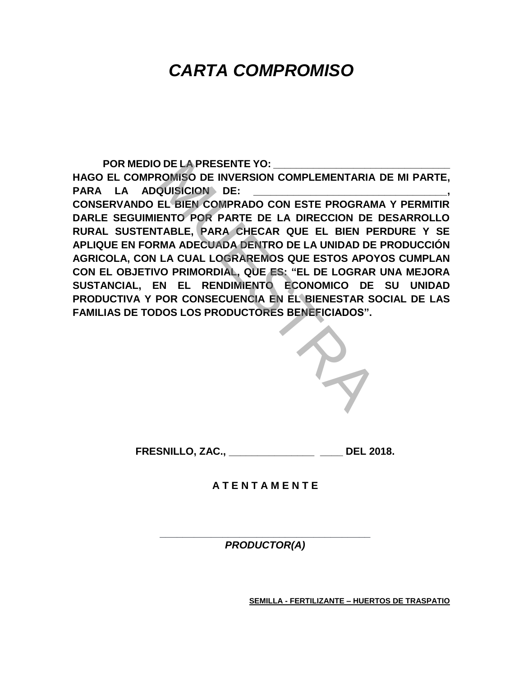**POR MEDIO DE LA PRESENTE YO: \_\_\_\_\_\_\_\_\_\_\_\_\_\_\_\_\_\_\_\_\_\_\_\_\_\_\_\_\_\_\_ HAGO EL COMPROMISO DE INVERSION COMPLEMENTARIA DE MI PARTE,**  PARA LA ADQUISICION DE: **CONSERVANDO EL BIEN COMPRADO CON ESTE PROGRAMA Y PERMITIR DARLE SEGUIMIENTO POR PARTE DE LA DIRECCION DE DESARROLLO RURAL SUSTENTABLE, PARA CHECAR QUE EL BIEN PERDURE Y SE APLIQUE EN FORMA ADECUADA DENTRO DE LA UNIDAD DE PRODUCCIÓN AGRICOLA, CON LA CUAL LOGRAREMOS QUE ESTOS APOYOS CUMPLAN CON EL OBJETIVO PRIMORDIAL, QUE ES: "EL DE LOGRAR UNA MEJORA SUSTANCIAL, EN EL RENDIMIENTO ECONOMICO DE SU UNIDAD PRODUCTIVA Y POR CONSECUENCIA EN EL BIENESTAR SOCIAL DE LAS FAMILIAS DE TODOS LOS PRODUCTORES BENEFICIADOS".** DE LA PRESENTE YO:<br>
NOMISO DE INVERSION COMPLEMENTARIA I<br>
QUISICION DE:<br>
EL BIEN COMPRADO CON ESTE PROGRAM.<br>
ENTO POR PARTE DE LA DIRECCION DE I<br>
TABLE, PARA CHECAR QUE EL BIEN PEI<br>
NA ADECUADA DENTRO DE LA UNIDAD DE I<br>
LA



**FRESNILLO, ZAC., \_\_\_\_\_\_\_\_\_\_\_\_\_\_\_ \_\_\_\_ DEL 2018.**

**A T E N T A M E N T E**

**\_\_\_\_\_\_\_\_\_\_\_\_\_\_\_\_\_\_\_\_\_\_\_\_\_\_\_\_\_\_\_\_\_\_\_\_\_** *PRODUCTOR(A)*

**SEMILLA - FERTILIZANTE – HUERTOS DE TRASPATIO**